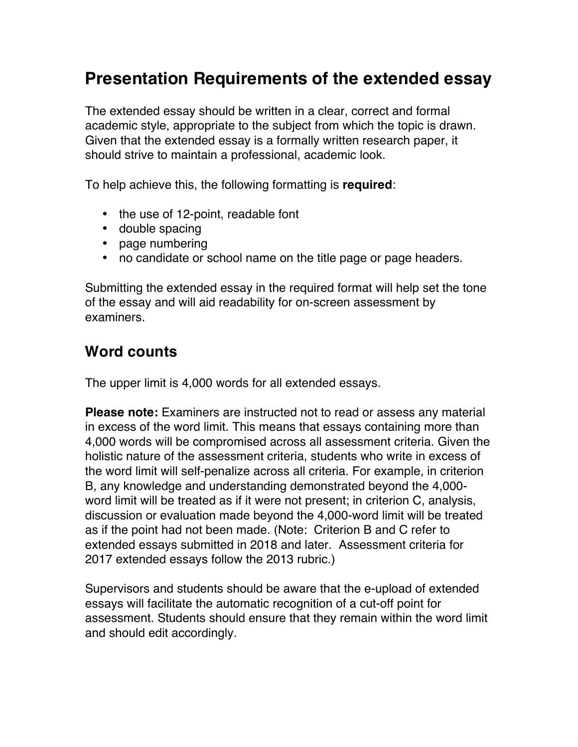# **Presentation Requirements of the extended essay**

The extended essay should be written in a clear, correct and formal academic style, appropriate to the subject from which the topic is drawn. Given that the extended essay is a formally written research paper, it should strive to maintain a professional, academic look.

To help achieve this, the following formatting is **required**:

- the use of 12-point, readable font
- double spacing
- page numbering
- no candidate or school name on the title page or page headers.

Submitting the extended essay in the required format will help set the tone of the essay and will aid readability for on-screen assessment by examiners.

#### **Word counts**

The upper limit is 4,000 words for all extended essays.

**Please note:** Examiners are instructed not to read or assess any material in excess of the word limit. This means that essays containing more than 4,000 words will be compromised across all assessment criteria. Given the holistic nature of the assessment criteria, students who write in excess of the word limit will self-penalize across all criteria. For example, in criterion B, any knowledge and understanding demonstrated beyond the 4,000 word limit will be treated as if it were not present; in criterion C, analysis, discussion or evaluation made beyond the 4,000-word limit will be treated as if the point had not been made. (Note: Criterion B and C refer to extended essays submitted in 2018 and later. Assessment criteria for 2017 extended essays follow the 2013 rubric.)

Supervisors and students should be aware that the e-upload of extended essays will facilitate the automatic recognition of a cut-off point for assessment. Students should ensure that they remain within the word limit and should edit accordingly.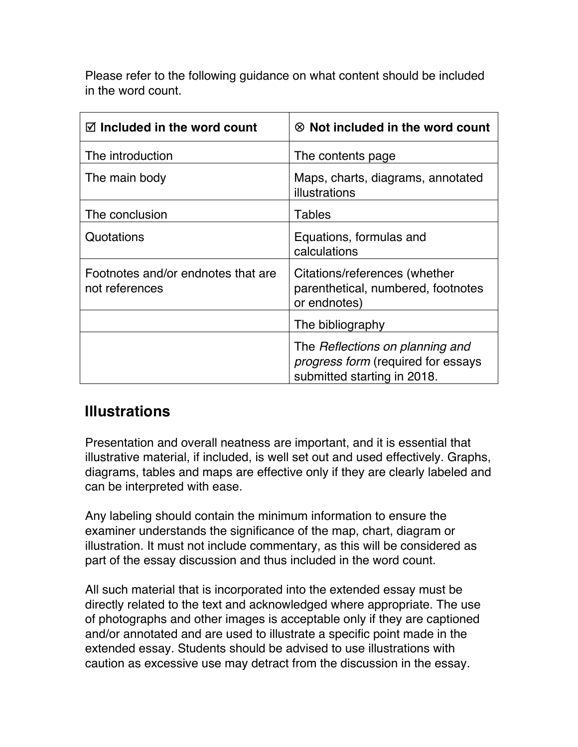Please refer to the following guidance on what content should be included in the word count.

| $\boxtimes$ Included in the word count               | $\otimes$ Not included in the word count                                                                    |
|------------------------------------------------------|-------------------------------------------------------------------------------------------------------------|
| The introduction                                     | The contents page                                                                                           |
| The main body                                        | Maps, charts, diagrams, annotated<br>illustrations                                                          |
| The conclusion                                       | <b>Tables</b>                                                                                               |
| Quotations                                           | Equations, formulas and<br>calculations                                                                     |
| Footnotes and/or endnotes that are<br>not references | Citations/references (whether<br>parenthetical, numbered, footnotes<br>or endnotes)                         |
|                                                      | The bibliography                                                                                            |
|                                                      | The Reflections on planning and<br><i>progress form</i> (required for essays<br>submitted starting in 2018. |

### **Illustrations**

Presentation and overall neatness are important, and it is essential that illustrative material, if included, is well set out and used effectively. Graphs, diagrams, tables and maps are effective only if they are clearly labeled and can be interpreted with ease.

Any labeling should contain the minimum information to ensure the examiner understands the significance of the map, chart, diagram or illustration. It must not include commentary, as this will be considered as part of the essay discussion and thus included in the word count.

All such material that is incorporated into the extended essay must be directly related to the text and acknowledged where appropriate. The use of photographs and other images is acceptable only if they are captioned and/or annotated and are used to illustrate a specific point made in the extended essay. Students should be advised to use illustrations with caution as excessive use may detract from the discussion in the essay.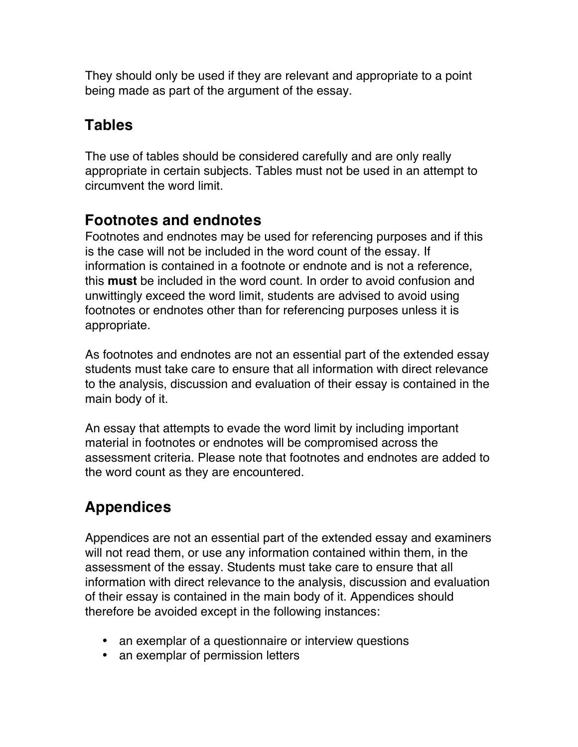They should only be used if they are relevant and appropriate to a point being made as part of the argument of the essay.

## **Tables**

The use of tables should be considered carefully and are only really appropriate in certain subjects. Tables must not be used in an attempt to circumvent the word limit.

### **Footnotes and endnotes**

Footnotes and endnotes may be used for referencing purposes and if this is the case will not be included in the word count of the essay. If information is contained in a footnote or endnote and is not a reference, this **must** be included in the word count. In order to avoid confusion and unwittingly exceed the word limit, students are advised to avoid using footnotes or endnotes other than for referencing purposes unless it is appropriate.

As footnotes and endnotes are not an essential part of the extended essay students must take care to ensure that all information with direct relevance to the analysis, discussion and evaluation of their essay is contained in the main body of it.

An essay that attempts to evade the word limit by including important material in footnotes or endnotes will be compromised across the assessment criteria. Please note that footnotes and endnotes are added to the word count as they are encountered.

# **Appendices**

Appendices are not an essential part of the extended essay and examiners will not read them, or use any information contained within them, in the assessment of the essay. Students must take care to ensure that all information with direct relevance to the analysis, discussion and evaluation of their essay is contained in the main body of it. Appendices should therefore be avoided except in the following instances:

- an exemplar of a questionnaire or interview questions
- an exemplar of permission letters